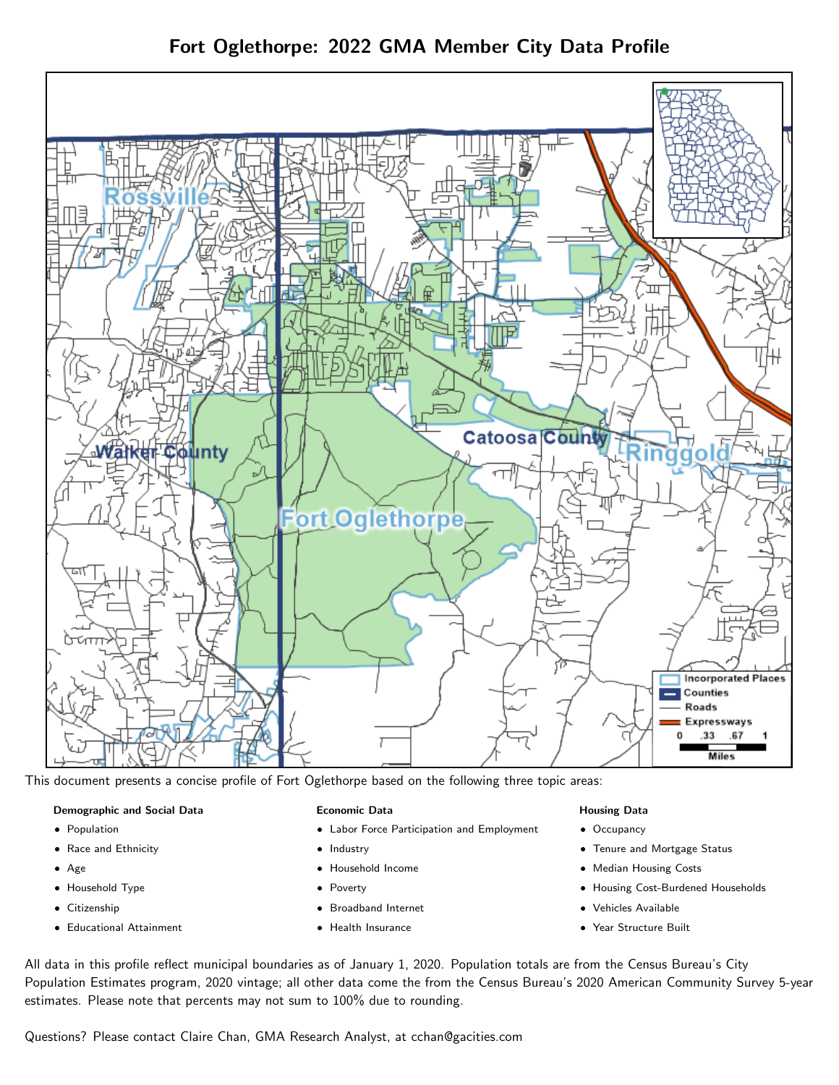

This document presents a concise profile of Fort Oglethorpe based on the following three topic areas:

### Demographic and Social Data

- **•** Population
- Race and Ethnicity
- Age
- Household Type
- **Citizenship**
- Educational Attainment

## Economic Data

- Labor Force Participation and Employment
- Industry
- Household Income
- Poverty
- Broadband Internet
- Health Insurance

## Housing Data

- Occupancy
- Tenure and Mortgage Status
- Median Housing Costs
- Housing Cost-Burdened Households
- Vehicles Available
- Year Structure Built

All data in this profile reflect municipal boundaries as of January 1, 2020. Population totals are from the Census Bureau's City Population Estimates program, 2020 vintage; all other data come the from the Census Bureau's 2020 American Community Survey 5-year estimates. Please note that percents may not sum to 100% due to rounding.

Questions? Please contact Claire Chan, GMA Research Analyst, at [cchan@gacities.com.](mailto:cchan@gacities.com)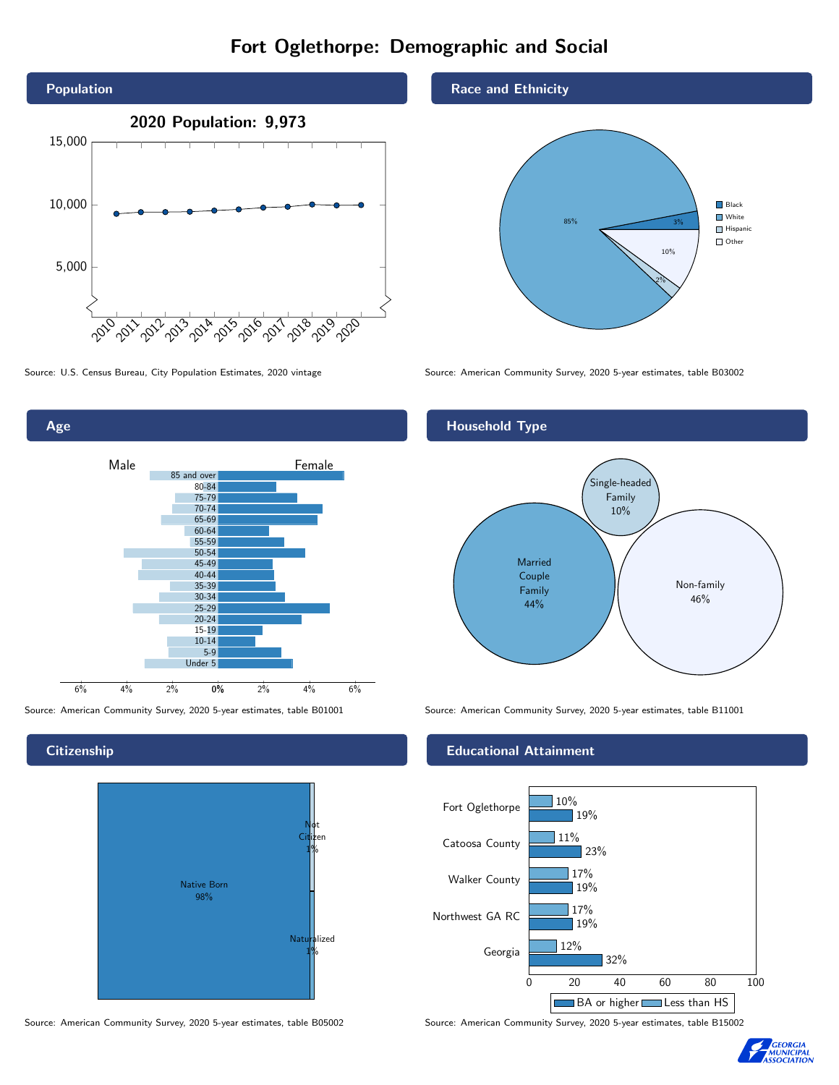# Fort Oglethorpe: Demographic and Social





**Citizenship** 



Source: American Community Survey, 2020 5-year estimates, table B05002 Source: American Community Survey, 2020 5-year estimates, table B15002

Race and Ethnicity



Source: U.S. Census Bureau, City Population Estimates, 2020 vintage Source: American Community Survey, 2020 5-year estimates, table B03002



Source: American Community Survey, 2020 5-year estimates, table B01001 Source: American Community Survey, 2020 5-year estimates, table B11001

### Educational Attainment



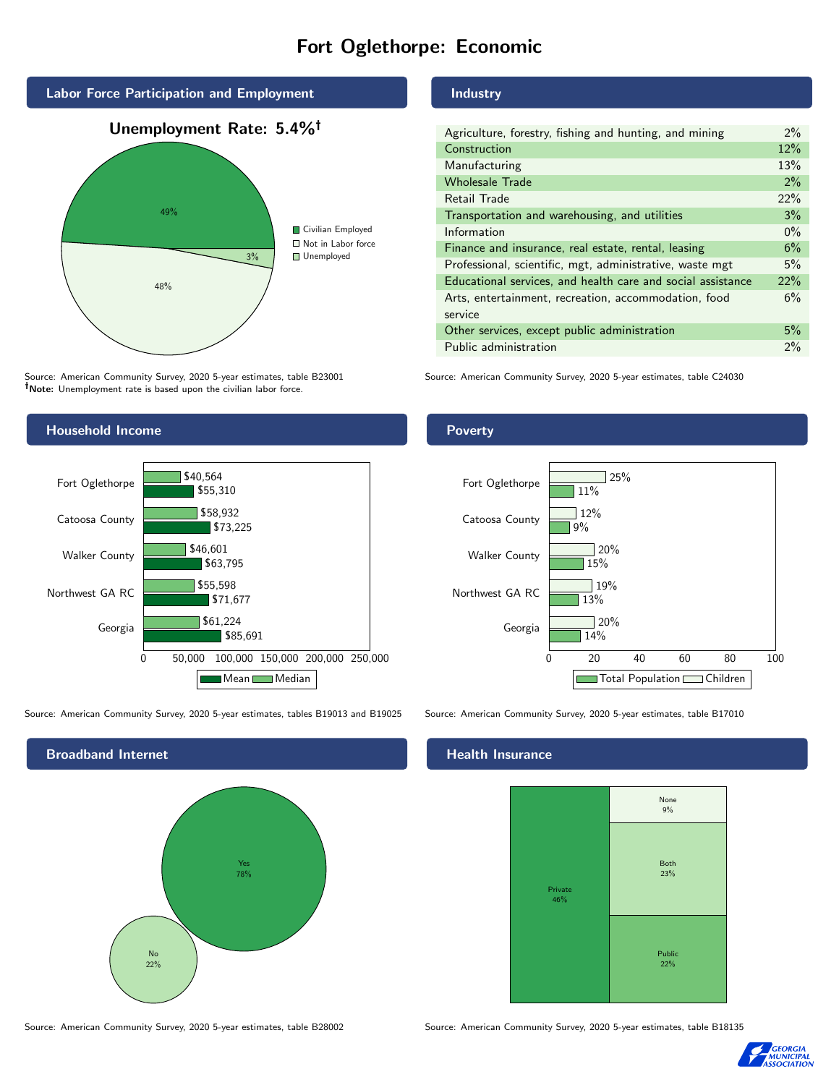# Fort Oglethorpe: Economic



Source: American Community Survey, 2020 5-year estimates, table B23001 Note: Unemployment rate is based upon the civilian labor force.

## Industry

| Agriculture, forestry, fishing and hunting, and mining      | $2\%$ |
|-------------------------------------------------------------|-------|
| Construction                                                | 12%   |
| Manufacturing                                               | 13%   |
| <b>Wholesale Trade</b>                                      | 2%    |
| Retail Trade                                                | 22%   |
| Transportation and warehousing, and utilities               | 3%    |
| Information                                                 | $0\%$ |
| Finance and insurance, real estate, rental, leasing         | 6%    |
| Professional, scientific, mgt, administrative, waste mgt    | 5%    |
| Educational services, and health care and social assistance | 22%   |
| Arts, entertainment, recreation, accommodation, food        | 6%    |
| service                                                     |       |
| Other services, except public administration                | 5%    |
| Public administration                                       | 2%    |

Source: American Community Survey, 2020 5-year estimates, table C24030



Source: American Community Survey, 2020 5-year estimates, tables B19013 and B19025 Source: American Community Survey, 2020 5-year estimates, table B17010

Broadband Internet No 22% Yes 78%

#### Health Insurance



Source: American Community Survey, 2020 5-year estimates, table B28002 Source: American Community Survey, 2020 5-year estimates, table B18135



## **Poverty**